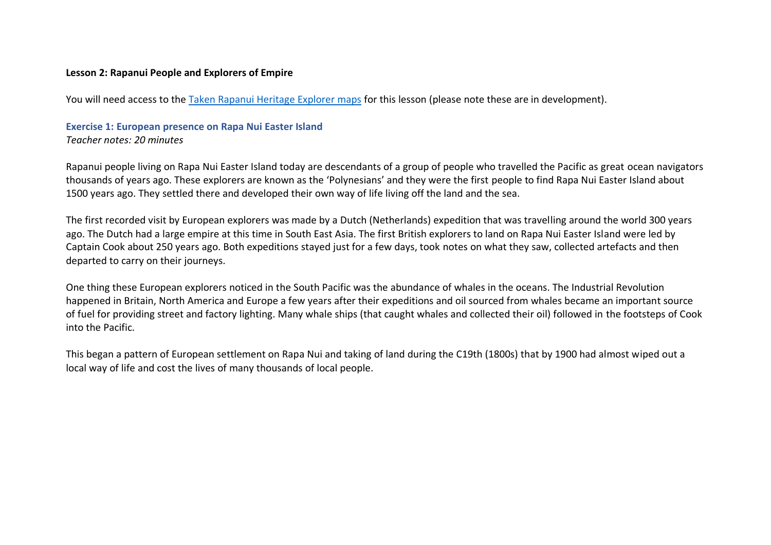### **Lesson 2: Rapanui People and Explorers of Empire**

You will need access to the [Taken Rapanui Heritage Explorer maps](https://theearthmuseum.co.uk/taken-rapanui-heritage-addressing-a-legacy-of-empires) for this lesson (please note these are in development).

# **Exercise 1: European presence on Rapa Nui Easter Island**

*Teacher notes: 20 minutes*

Rapanui people living on Rapa Nui Easter Island today are descendants of a group of people who travelled the Pacific as great ocean navigators thousands of years ago. These explorers are known as the 'Polynesians' and they were the first people to find Rapa Nui Easter Island about 1500 years ago. They settled there and developed their own way of life living off the land and the sea.

The first recorded visit by European explorers was made by a Dutch (Netherlands) expedition that was travelling around the world 300 years ago. The Dutch had a large empire at this time in South East Asia. The first British explorers to land on Rapa Nui Easter Island were led by Captain Cook about 250 years ago. Both expeditions stayed just for a few days, took notes on what they saw, collected artefacts and then departed to carry on their journeys.

One thing these European explorers noticed in the South Pacific was the abundance of whales in the oceans. The Industrial Revolution happened in Britain, North America and Europe a few years after their expeditions and oil sourced from whales became an important source of fuel for providing street and factory lighting. Many whale ships (that caught whales and collected their oil) followed in the footsteps of Cook into the Pacific.

This began a pattern of European settlement on Rapa Nui and taking of land during the C19th (1800s) that by 1900 had almost wiped out a local way of life and cost the lives of many thousands of local people.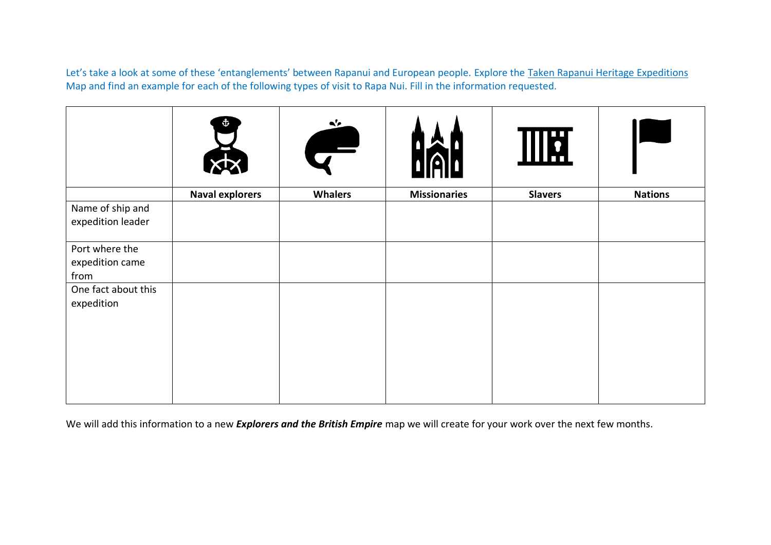Let's take a look at some of these 'entanglements' between Rapanui and European people. Explore the [Taken Rapanui Heritage Expeditions](https://the-earth-museum.maps.arcgis.com/apps/webappviewer/index.html?id=a361adf1a94c4ba2afeceb0125857d81) Map and find an example for each of the following types of visit to Rapa Nui. Fill in the information requested.

|                                           | Ť                      | $\mathbf{A}'$<br>$\overline{\phantom{0}}$ |                     | <b>THE</b>     |                |
|-------------------------------------------|------------------------|-------------------------------------------|---------------------|----------------|----------------|
|                                           | <b>Naval explorers</b> | <b>Whalers</b>                            | <b>Missionaries</b> | <b>Slavers</b> | <b>Nations</b> |
| Name of ship and<br>expedition leader     |                        |                                           |                     |                |                |
| Port where the<br>expedition came<br>from |                        |                                           |                     |                |                |
| One fact about this<br>expedition         |                        |                                           |                     |                |                |
|                                           |                        |                                           |                     |                |                |

We will add this information to a new *Explorers and the British Empire* map we will create for your work over the next few months.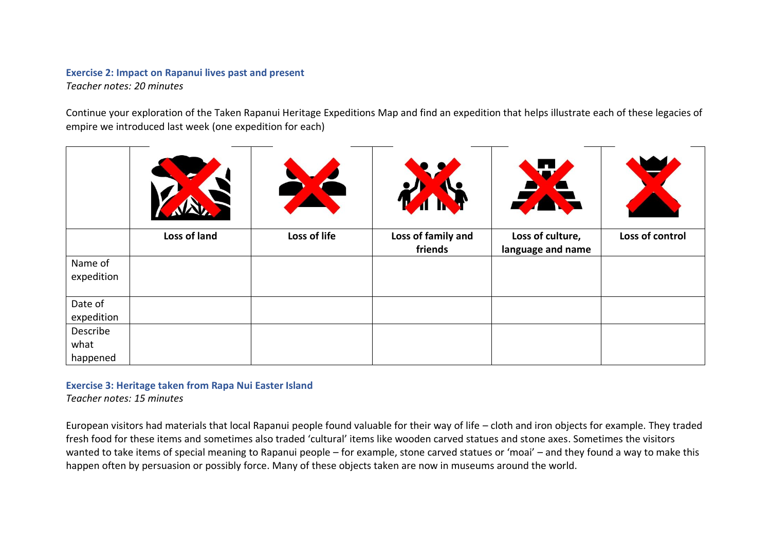# **Exercise 2: Impact on Rapanui lives past and present**

*Teacher notes: 20 minutes*

Continue your exploration of the Taken Rapanui Heritage Expeditions Map and find an expedition that helps illustrate each of these legacies of empire we introduced last week (one expedition for each)

|                              | Loss of land | Loss of life | Loss of family and<br>friends | Loss of culture,<br>language and name | Loss of control |
|------------------------------|--------------|--------------|-------------------------------|---------------------------------------|-----------------|
| Name of<br>expedition        |              |              |                               |                                       |                 |
| Date of<br>expedition        |              |              |                               |                                       |                 |
| Describe<br>what<br>happened |              |              |                               |                                       |                 |

## **Exercise 3: Heritage taken from Rapa Nui Easter Island**

*Teacher notes: 15 minutes*

European visitors had materials that local Rapanui people found valuable for their way of life – cloth and iron objects for example. They traded fresh food for these items and sometimes also traded 'cultural' items like wooden carved statues and stone axes. Sometimes the visitors wanted to take items of special meaning to Rapanui people – for example, stone carved statues or 'moai' – and they found a way to make this happen often by persuasion or possibly force. Many of these objects taken are now in museums around the world.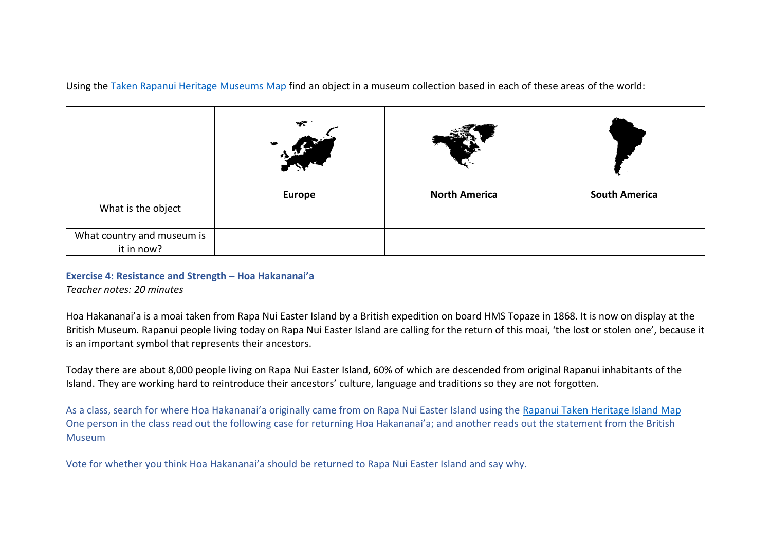Using the [Taken Rapanui Heritage Museums Map](https://the-earth-museum.maps.arcgis.com/apps/webappviewer3d/index.html?id=5607ea523b7948e08a31993e36c9edbe) find an object in a museum collection based in each of these areas of the world:

|                                          | ₩٣            |                      |                      |
|------------------------------------------|---------------|----------------------|----------------------|
|                                          | <b>Europe</b> | <b>North America</b> | <b>South America</b> |
| What is the object                       |               |                      |                      |
| What country and museum is<br>it in now? |               |                      |                      |

### **Exercise 4: Resistance and Strength – Hoa Hakananai'a**

*Teacher notes: 20 minutes*

Hoa Hakananai'a is a moai taken from Rapa Nui Easter Island by a British expedition on board HMS Topaze in 1868. It is now on display at the British Museum. Rapanui people living today on Rapa Nui Easter Island are calling for the return of this moai, 'the lost or stolen one', because it is an important symbol that represents their ancestors.

Today there are about 8,000 people living on Rapa Nui Easter Island, 60% of which are descended from original Rapanui inhabitants of the Island. They are working hard to reintroduce their ancestors' culture, language and traditions so they are not forgotten.

As a class, search for where Hoa Hakananai'a originally came from on Rapa Nui Easter Island using the [Rapanui Taken Heritage Island Map](https://the-earth-museum.maps.arcgis.com/apps/webappviewer/index.html?id=71f20772c3d64d069a33f33e00bf7745) One person in the class read out the following case for returning Hoa Hakananai'a; and another reads out the statement from the British **Museum** 

Vote for whether you think Hoa Hakananai'a should be returned to Rapa Nui Easter Island and say why.